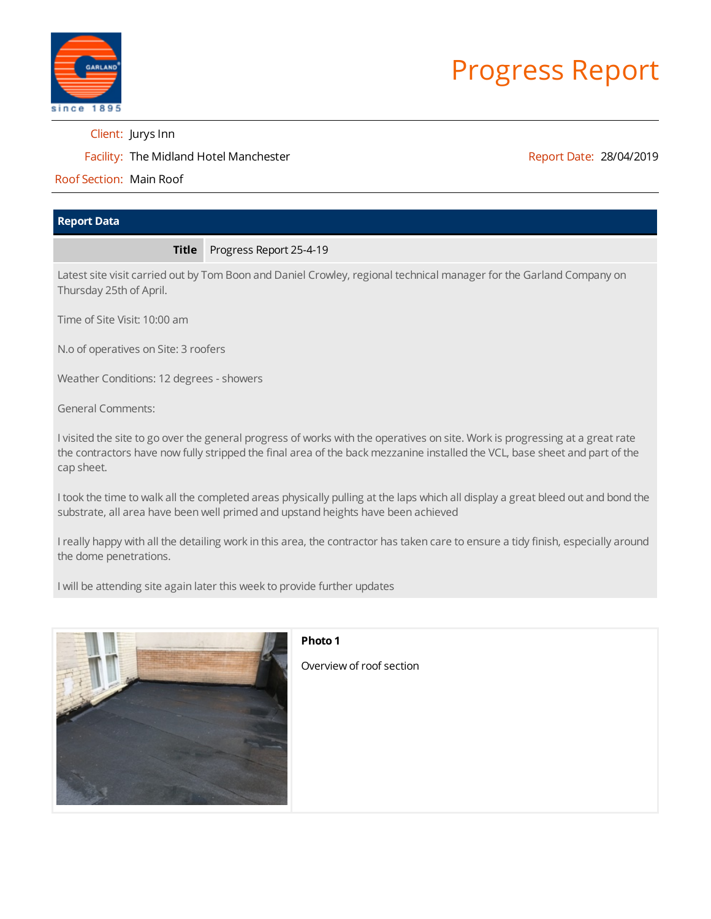

# Progress Report

Client: Jurys Inn

Facility: The Midland Hotel Manchester

Report Date: 28/04/2019

Roof Section: Main Roof

# **Report Data**

#### **Title** Progress Report 25-4-19

Latest site visit carried out by Tom Boon and Daniel Crowley, regional technical manager for the Garland Company on Thursday 25th of April.

Time of Site Visit: 10:00 am

N.o of operatives on Site: 3 roofers

Weather Conditions: 12 degrees - showers

General Comments:

I visited the site to go over the general progress of works with the operatives on site. Work is progressing at a great rate the contractors have now fully stripped the final area of the back mezzanine installed the VCL, base sheet and part of the cap sheet.

I took the time to walk all the completed areas physically pulling at the laps which all display a great bleed out and bond the substrate, all area have been well primed and upstand heights have been achieved

I really happy with all the detailing work in this area, the contractor has taken care to ensure a tidy finish, especially around the dome penetrations.

I will be attending site again later this week to provide further updates



#### **Photo 1**

Overview of roof section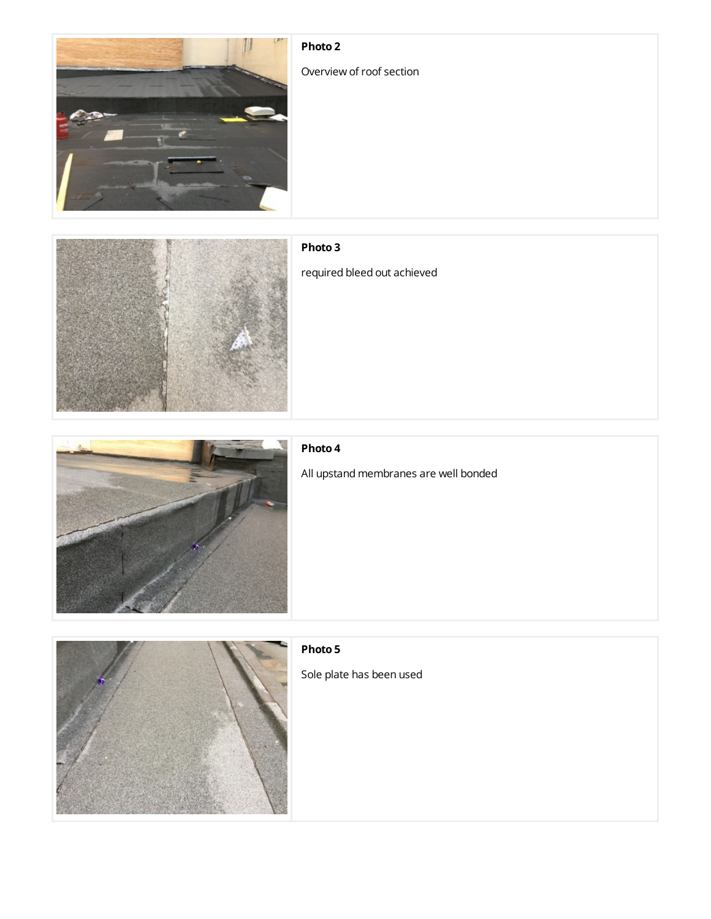# **Photo 2**

Overview of roof section





# **Photo 3**

required bleed out achieved



#### **Photo 4**

All upstand membranes are well bonded



## **Photo 5**

Sole plate has been used